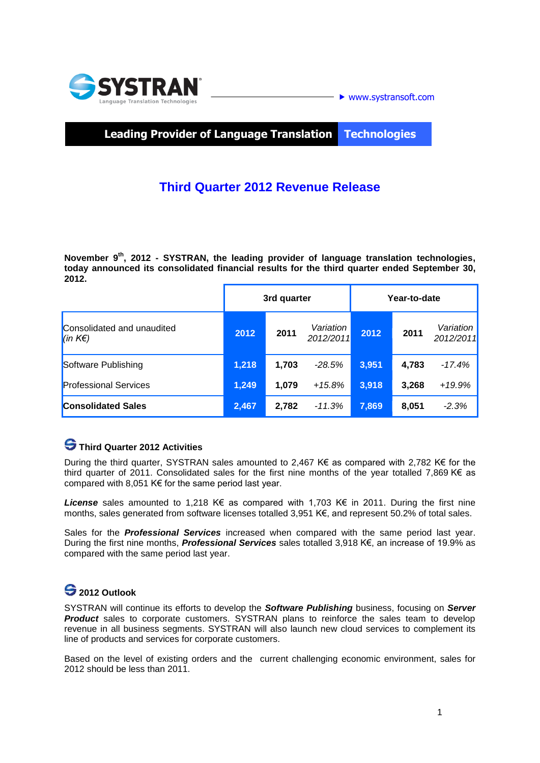

www.systransoft.com

**Leading Provider of Language Translation Technologies**

## **Third Quarter 2012 Revenue Release**

**November 9 th , 2012 - SYSTRAN, the leading provider of language translation technologies, today announced its consolidated financial results for the third quarter ended September 30, 2012.** 

|                                        | 3rd quarter |       |                        | Year-to-date |       |                        |
|----------------------------------------|-------------|-------|------------------------|--------------|-------|------------------------|
| Consolidated and unaudited<br> (in K€) | 2012        | 2011  | Variation<br>2012/2011 | 2012         | 2011  | Variation<br>2012/2011 |
| Software Publishing                    | 1,218       | 1,703 | $-28.5%$               | 3,951        | 4,783 | $-17.4%$               |
| <b>Professional Services</b>           | 1,249       | 1.079 | $+15.8%$               | 3,918        | 3.268 | +19.9%                 |
| <b>Consolidated Sales</b>              | 2,467       | 2,782 | $-11.3%$               | 7,869        | 8,051 | $-2.3%$                |

### **Third Quarter 2012 Activities**

During the third quarter, SYSTRAN sales amounted to 2,467 K€ as compared with 2,782 K€ for the third quarter of 2011. Consolidated sales for the first nine months of the year totalled 7,869 K€ as compared with 8,051 K $\epsilon$  for the same period last year.

*License* sales amounted to 1,218 K€ as compared with 1,703 K€ in 2011. During the first nine months, sales generated from software licenses totalled 3,951 K€, and represent 50.2% of total sales.

Sales for the *Professional Services* increased when compared with the same period last year. During the first nine months, *Professional Services* sales totalled 3,918 K€, an increase of 19.9% as compared with the same period last year.

### **2012 Outlook**

SYSTRAN will continue its efforts to develop the *Software Publishing* business, focusing on *Server*  **Product** sales to corporate customers. SYSTRAN plans to reinforce the sales team to develop revenue in all business segments. SYSTRAN will also launch new cloud services to complement its line of products and services for corporate customers.

Based on the level of existing orders and the current challenging economic environment, sales for 2012 should be less than 2011.